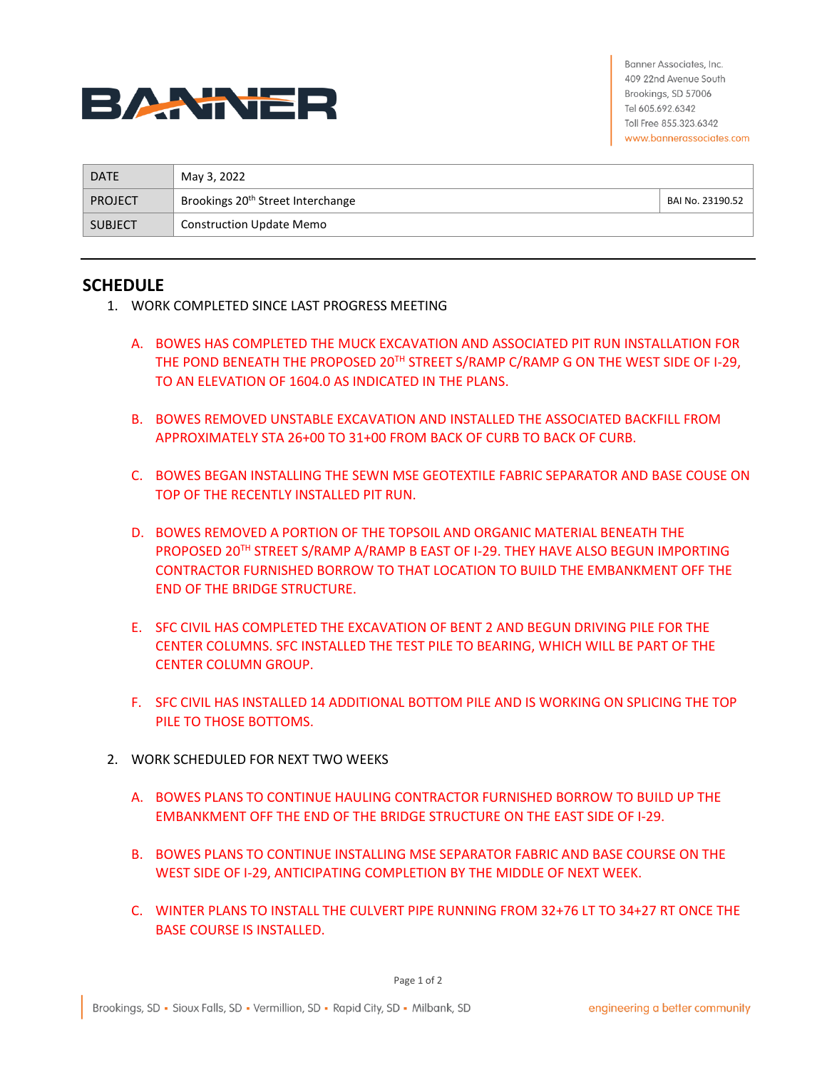

Banner Associates, Inc. 409 22nd Avenue South Brookings, SD 57006 Tel 605.692.6342 Toll Free 855.323.6342 www.bannerassociates.com

| <b>DATE</b>    | May 3, 2022                                   |                  |
|----------------|-----------------------------------------------|------------------|
| <b>PROJECT</b> | Brookings 20 <sup>th</sup> Street Interchange | BAI No. 23190.52 |
| <b>SUBJECT</b> | <b>Construction Update Memo</b>               |                  |

## **SCHEDULE**

- 1. WORK COMPLETED SINCE LAST PROGRESS MEETING
	- A. BOWES HAS COMPLETED THE MUCK EXCAVATION AND ASSOCIATED PIT RUN INSTALLATION FOR THE POND BENEATH THE PROPOSED 20TH STREET S/RAMP C/RAMP G ON THE WEST SIDE OF I-29, TO AN ELEVATION OF 1604.0 AS INDICATED IN THE PLANS.
	- B. BOWES REMOVED UNSTABLE EXCAVATION AND INSTALLED THE ASSOCIATED BACKFILL FROM APPROXIMATELY STA 26+00 TO 31+00 FROM BACK OF CURB TO BACK OF CURB.
	- C. BOWES BEGAN INSTALLING THE SEWN MSE GEOTEXTILE FABRIC SEPARATOR AND BASE COUSE ON TOP OF THE RECENTLY INSTALLED PIT RUN.
	- D. BOWES REMOVED A PORTION OF THE TOPSOIL AND ORGANIC MATERIAL BENEATH THE PROPOSED 20TH STREET S/RAMP A/RAMP B EAST OF I-29. THEY HAVE ALSO BEGUN IMPORTING CONTRACTOR FURNISHED BORROW TO THAT LOCATION TO BUILD THE EMBANKMENT OFF THE END OF THE BRIDGE STRUCTURE.
	- E. SFC CIVIL HAS COMPLETED THE EXCAVATION OF BENT 2 AND BEGUN DRIVING PILE FOR THE CENTER COLUMNS. SFC INSTALLED THE TEST PILE TO BEARING, WHICH WILL BE PART OF THE CENTER COLUMN GROUP.
	- F. SFC CIVIL HAS INSTALLED 14 ADDITIONAL BOTTOM PILE AND IS WORKING ON SPLICING THE TOP PILE TO THOSE BOTTOMS.
- 2. WORK SCHEDULED FOR NEXT TWO WEEKS
	- A. BOWES PLANS TO CONTINUE HAULING CONTRACTOR FURNISHED BORROW TO BUILD UP THE EMBANKMENT OFF THE END OF THE BRIDGE STRUCTURE ON THE EAST SIDE OF I-29.
	- B. BOWES PLANS TO CONTINUE INSTALLING MSE SEPARATOR FABRIC AND BASE COURSE ON THE WEST SIDE OF I-29, ANTICIPATING COMPLETION BY THE MIDDLE OF NEXT WEEK.
	- C. WINTER PLANS TO INSTALL THE CULVERT PIPE RUNNING FROM 32+76 LT TO 34+27 RT ONCE THE BASE COURSE IS INSTALLED.